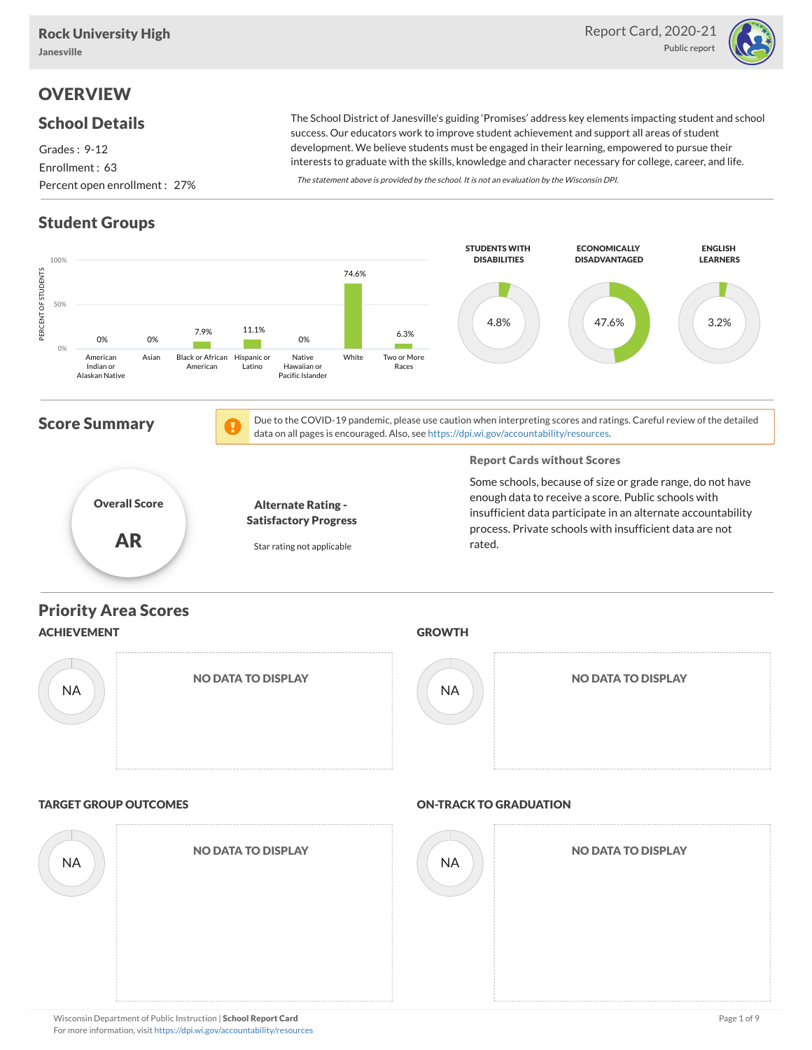

# **OVERVIEW**

#### School Details

Grades : 9-12 Enrollment : 63 Percent open enrollment : 27%

The School District of Janesville's guiding 'Promises' address key elements impacting student and school success. Our educators work to improve student achievement and support all areas of student development. We believe students must be engaged in their learning, empowered to pursue their interests to graduate with the skills, knowledge and character necessary for college, career, and life.

The statement above is provided by the school. It is not an evaluation by the Wisconsin DPI.

## Student Groups

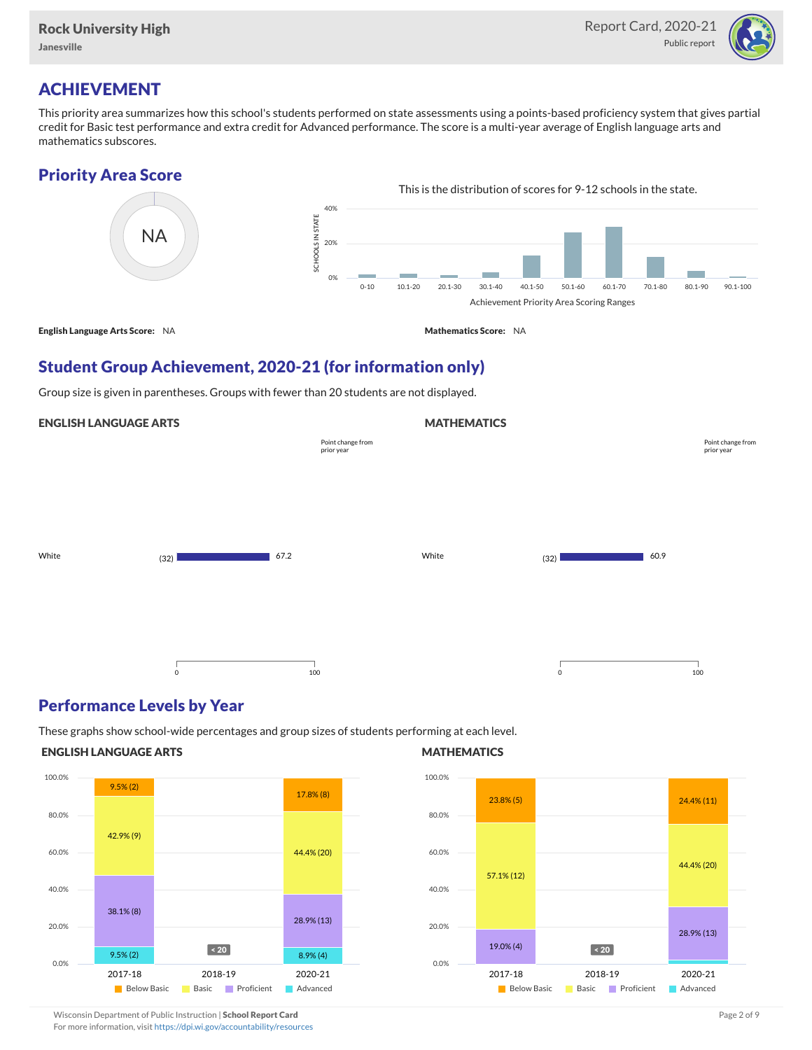

## ACHIEVEMENT

This priority area summarizes how this school's students performed on state assessments using a points-based proficiency system that gives partial credit for Basic test performance and extra credit for Advanced performance. The score is a multi-year average of English language arts and mathematics subscores.

#### Priority Area Score



#### Student Group Achievement, 2020-21 (for information only)

Group size is given in parentheses. Groups with fewer than 20 students are not displayed.

#### ENGLISH LANGUAGE ARTS

|       |             |      | Point change from<br>prior year |       |         |      | Point change from<br>prior year |
|-------|-------------|------|---------------------------------|-------|---------|------|---------------------------------|
|       |             |      |                                 |       |         |      |                                 |
|       |             |      |                                 |       |         |      |                                 |
| White | (32)        | 67.2 |                                 | White | (32)    | 60.9 |                                 |
|       |             |      |                                 |       |         |      |                                 |
|       |             |      |                                 |       |         |      |                                 |
|       | $\mathbf 0$ | 100  |                                 |       | $\circ$ | 100  |                                 |

#### Performance Levels by Year

These graphs show school-wide percentages and group sizes of students performing at each level.

#### ENGLISH LANGUAGE ARTS



#### **MATHEMATICS**

**MATHEMATICS** 



Wisconsin Department of Public Instruction | School Report Card Page 2 of 9 and 2 of 9 and 2 of 9 and 2 of 9 and 2 of 9 and 2 of 9 and 2 of 9 and 2 of 9 and 2 of 9 and 2 of 9 and 2 of 9 and 2 of 9 and 2 of 9 and 2 of 9 and For more information, visit <https://dpi.wi.gov/accountability/resources>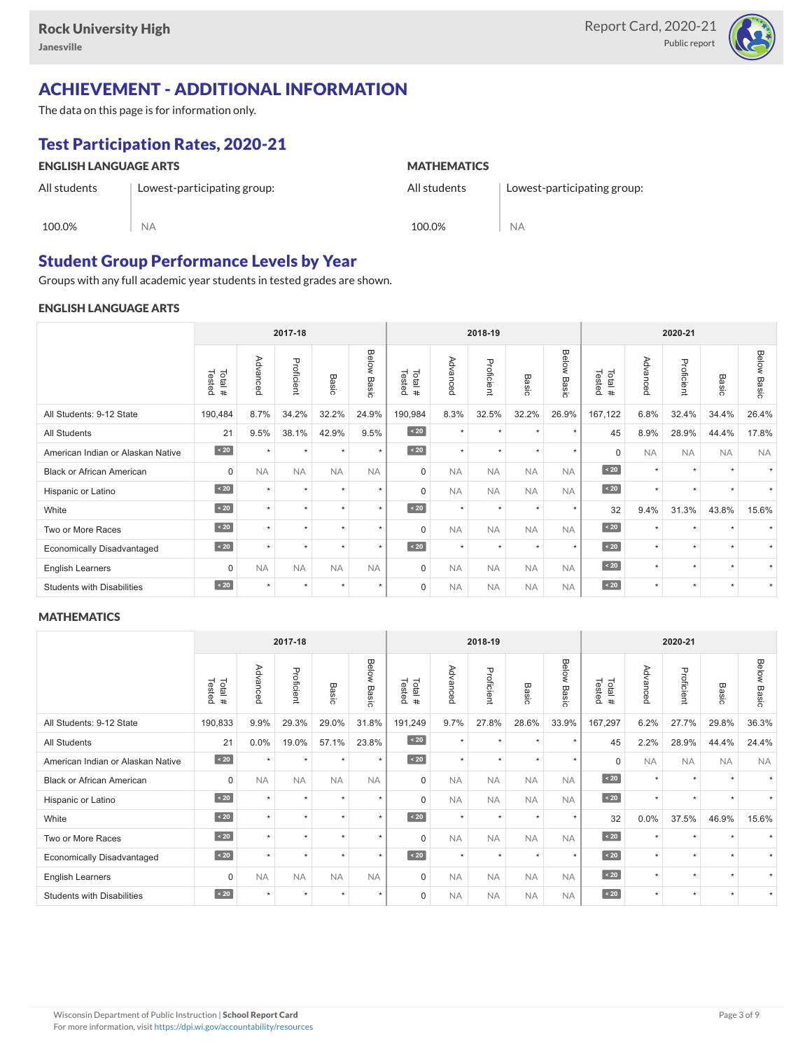

## ACHIEVEMENT - ADDITIONAL INFORMATION

The data on this page is for information only.

NA

## Test Participation Rates, 2020-21

#### ENGLISH LANGUAGE ARTS

All students

100.0%

**MATHEMATICS** 

All students 100.0%

Lowest-participating group:

NA

Student Group Performance Levels by Year

Lowest-participating group:

Groups with any full academic year students in tested grades are shown.

#### ENGLISH LANGUAGE ARTS

|                                   |                  | 2017-18              |            |              |                |                  | 2018-19   |            |                      |                |                  | 2020-21   |            |                      |                |
|-----------------------------------|------------------|----------------------|------------|--------------|----------------|------------------|-----------|------------|----------------------|----------------|------------------|-----------|------------|----------------------|----------------|
|                                   | Tested<br>Total# | Advanced             | Proficient | <b>Basic</b> | Below<br>Basic | Tested<br>Total# | Advanced  | Proficient | Basi<br>$\Omega$     | Below<br>Basic | Tested<br>Total# | Advancec  | Proficient | Basic                | Below<br>Basic |
| All Students: 9-12 State          | 190,484          | 8.7%                 | 34.2%      | 32.2%        | 24.9%          | 190,984          | 8.3%      | 32.5%      | 32.2%                | 26.9%          | 167,122          | 6.8%      | 32.4%      | 34.4%                | 26.4%          |
| <b>All Students</b>               | 21               | 9.5%                 | 38.1%      | 42.9%        | 9.5%           | $\sim 20$        | $\star$   | $\star$    | $\star$              | $\star$        | 45               | 8.9%      | 28.9%      | 44.4%                | 17.8%          |
| American Indian or Alaskan Native | $\angle 20$      | $\ddot{}$            | $\star$    | $\star$      | $\star$        | $\angle 20$      | $\star$   | $\star$    | $\ddot{\phantom{1}}$ | $\star$        | $\mathbf 0$      | <b>NA</b> | <b>NA</b>  | <b>NA</b>            | <b>NA</b>      |
| <b>Black or African American</b>  | $\mathbf 0$      | <b>NA</b>            | <b>NA</b>  | <b>NA</b>    | <b>NA</b>      | $\Omega$         | <b>NA</b> | <b>NA</b>  | <b>NA</b>            | <b>NA</b>      | $\angle 20$      | $\star$   | $\star$    |                      |                |
| Hispanic or Latino                | $\angle 20$      | $\ddot{\phantom{1}}$ | $\star$    | $\star$      | $\star$        | $\Omega$         | <b>NA</b> | <b>NA</b>  | <b>NA</b>            | <b>NA</b>      | $\sim 20$        | $\star$   | $\star$    | $\ddot{\phantom{1}}$ |                |
| White                             | $\overline{20}$  | $\ddot{}$            | $\star$    | ٠            | $\star$        | $\angle 20$      | $\star$   | $\star$    | $\star$              | $\star$        | 32               | 9.4%      | 31.3%      | 43.8%                | 15.6%          |
| Two or More Races                 | $\sim 20$        | $\ddot{}$            | $\star$    | $\star$      | $\star$        | $\Omega$         | <b>NA</b> | <b>NA</b>  | <b>NA</b>            | <b>NA</b>      | $\angle 20$      | $\star$   | $\star$    |                      |                |
| <b>Economically Disadvantaged</b> | $\angle 20$      | $\ddot{}$            | $\star$    | $\star$      | $\star$        | $\angle 20$      | $\star$   | $\star$    | $\ddot{\phantom{1}}$ | $\star$        | $\angle 20$      | $\star$   | $\star$    | $\ddot{\phantom{1}}$ |                |
| English Learners                  | $\Omega$         | <b>NA</b>            | <b>NA</b>  | <b>NA</b>    | <b>NA</b>      | $\Omega$         | <b>NA</b> | <b>NA</b>  | <b>NA</b>            | <b>NA</b>      | $\angle 20$      | $\star$   | $\star$    |                      |                |
| <b>Students with Disabilities</b> | $\sim 20$        | $\star$              | $\star$    | $\star$      | $\star$        | $\mathbf 0$      | <b>NA</b> | <b>NA</b>  | <b>NA</b>            | <b>NA</b>      | $\sim 20$        | $\star$   | $\star$    | $\star$              |                |

#### **MATHEMATICS**

| 2017-18                           |                  |           |            |           |                | 2018-19          |           |            |                      |                | 2020-21          |           |            |                      |                    |
|-----------------------------------|------------------|-----------|------------|-----------|----------------|------------------|-----------|------------|----------------------|----------------|------------------|-----------|------------|----------------------|--------------------|
|                                   | Tested<br>Total# | Advanced  | Proficient | Basic     | Below<br>Basic | Tested<br>Total# | Advanced  | Proficient | Basic                | Below<br>Basic | Tested<br>Total# | Advanced  | Proficient | Basic                | <b>Below Basic</b> |
| All Students: 9-12 State          | 190,833          | 9.9%      | 29.3%      | 29.0%     | 31.8%          | 191,249          | 9.7%      | 27.8%      | 28.6%                | 33.9%          | 167,297          | 6.2%      | 27.7%      | 29.8%                | 36.3%              |
| <b>All Students</b>               | 21               | 0.0%      | 19.0%      | 57.1%     | 23.8%          | $\sim 20$        | $\star$   | $\star$    | $\ddot{\phantom{1}}$ | $\star$        | 45               | 2.2%      | 28.9%      | 44.4%                | 24.4%              |
| American Indian or Alaskan Native | $\sim 20$        | $\ddot{}$ | $\star$    | $\star$   | $\star$        | $\angle 20$      | $\star$   | $\star$    | $\ddot{}$            | $\star$        | $\mathbf 0$      | <b>NA</b> | <b>NA</b>  | <b>NA</b>            | <b>NA</b>          |
| <b>Black or African American</b>  | $\mathbf 0$      | <b>NA</b> | <b>NA</b>  | <b>NA</b> | <b>NA</b>      | $\Omega$         | <b>NA</b> | <b>NA</b>  | <b>NA</b>            | <b>NA</b>      | $\angle 20$      | $\star$   | $\star$    |                      |                    |
| Hispanic or Latino                | $\sim 20$        | $\ddot{}$ | $\star$    | $\star$   | $\star$        | $\Omega$         | <b>NA</b> | <b>NA</b>  | <b>NA</b>            | <b>NA</b>      | $\angle 20$      | $\star$   | $\star$    | $\ddot{\phantom{1}}$ |                    |
| White                             | $\angle 20$      | $\ddot{}$ | $\star$    | ٠         | $\star$        | $\angle 20$      | $\star$   | $\star$    | $\star$              | $\star$        | 32               | 0.0%      | 37.5%      | 46.9%                | 15.6%              |
| Two or More Races                 | $\sim 20$        | $\star$   | $\star$    | $\star$   | $\star$        | $\Omega$         | <b>NA</b> | <b>NA</b>  | <b>NA</b>            | <b>NA</b>      | $\angle 20$      | $\star$   | $\star$    | $\ddot{}$            |                    |
| <b>Economically Disadvantaged</b> | $\sim 20$        | $\star$   | $\star$    | $\star$   | $\star$        | $\sim 20$        | $\star$   | $\star$    | $\star$              | $\star$        | $\angle 20$      | $\star$   | $\star$    | $\ddot{}$            |                    |
| English Learners                  | $\Omega$         | <b>NA</b> | <b>NA</b>  | <b>NA</b> | <b>NA</b>      | $\mathbf 0$      | <b>NA</b> | <b>NA</b>  | <b>NA</b>            | <b>NA</b>      | $\angle 20$      | $\star$   | $\star$    |                      |                    |
| <b>Students with Disabilities</b> | $\angle 20$      | $\star$   | $\star$    | $\star$   | $\star$        | $\mathbf 0$      | <b>NA</b> | <b>NA</b>  | <b>NA</b>            | <b>NA</b>      | $\angle 20$      | $\star$   | $\star$    | $\star$              |                    |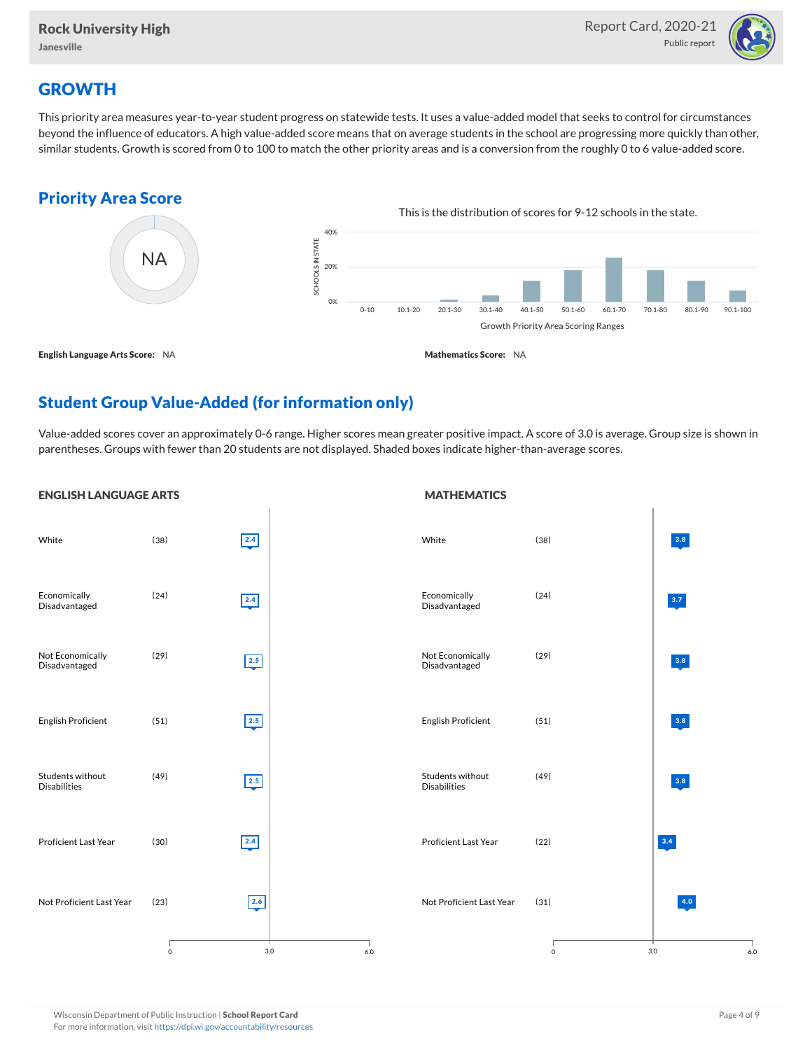

## **GROWTH**

This priority area measures year-to-year student progress on statewide tests. It uses a value-added model that seeks to control for circumstances beyond the influence of educators. A high value-added score means that on average students in the school are progressing more quickly than other, similar students. Growth is scored from 0 to 100 to match the other priority areas and is a conversion from the roughly 0 to 6 value-added score.

### Priority Area Score



## Student Group Value-Added (for information only)

Value-added scores cover an approximately 0-6 range. Higher scores mean greater positive impact. A score of 3.0 is average. Group size is shown in parentheses. Groups with fewer than 20 students are not displayed. Shaded boxes indicate higher-than-average scores.

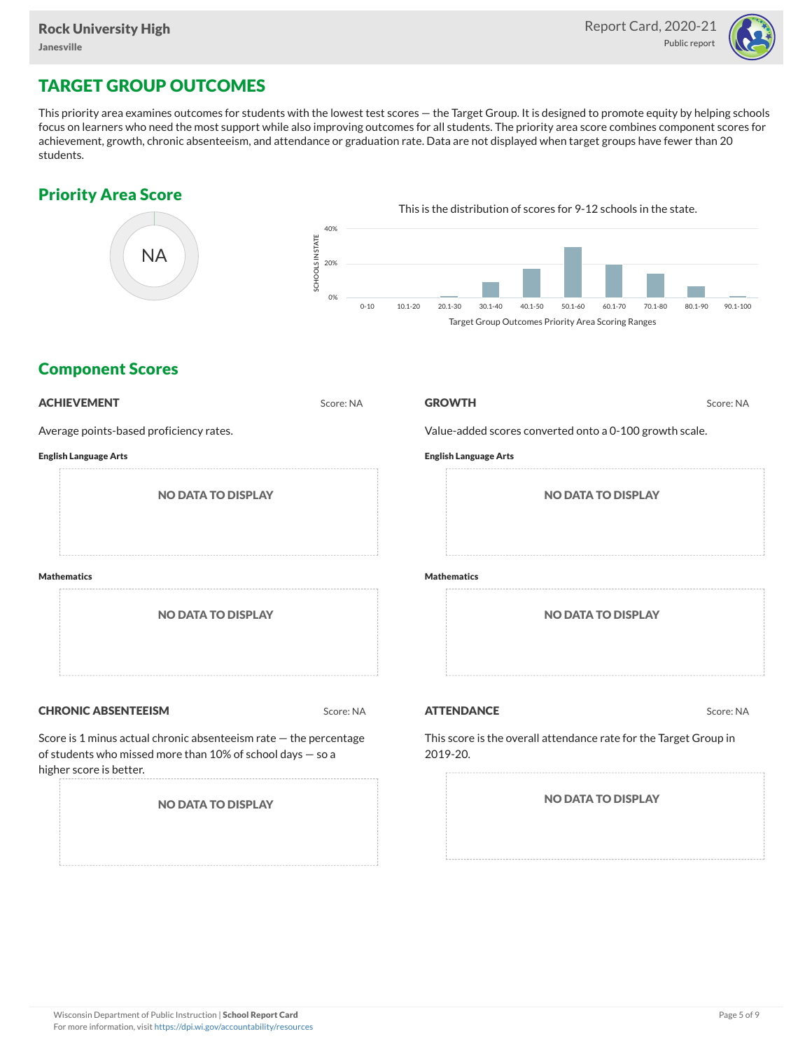

## TARGET GROUP OUTCOMES

This priority area examines outcomes for students with the lowest test scores — the Target Group. It is designed to promote equity by helping schools focus on learners who need the most support while also improving outcomes for all students. The priority area score combines component scores for achievement, growth, chronic absenteeism, and attendance or graduation rate. Data are not displayed when target groups have fewer than 20 students.

### Priority Area Score



### Component Scores

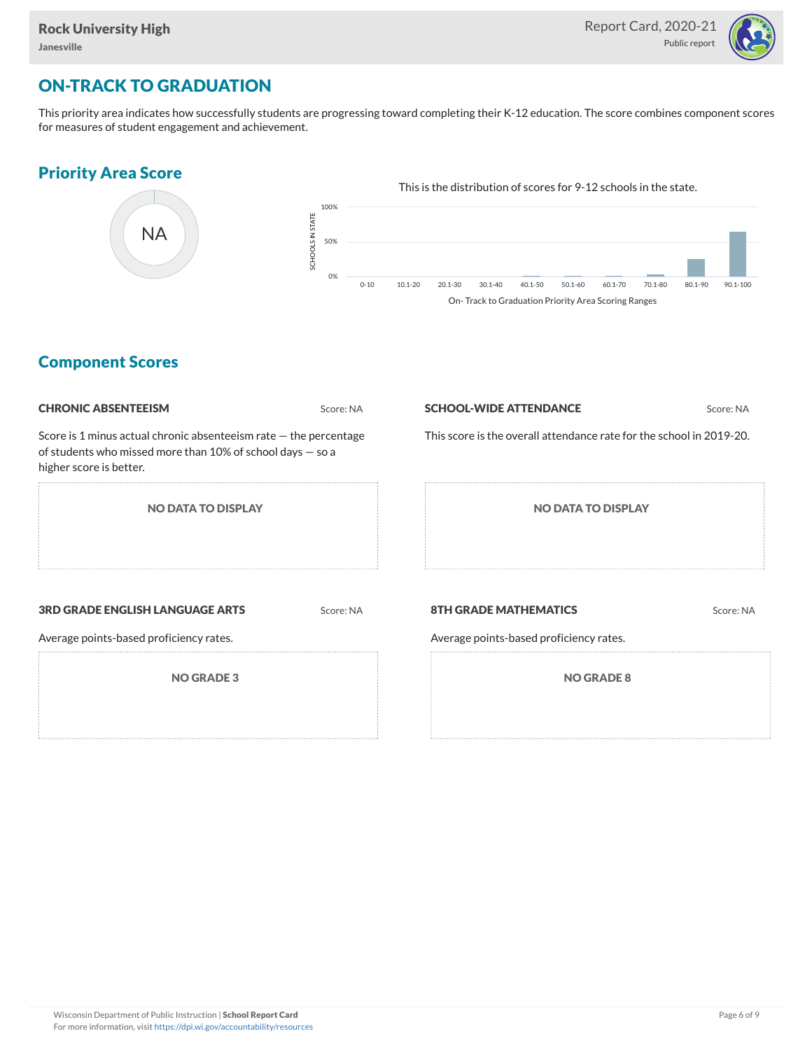

## ON-TRACK TO GRADUATION

This priority area indicates how successfully students are progressing toward completing their K-12 education. The score combines component scores for measures of student engagement and achievement.

#### Priority Area Score



#### Component Scores

| <b>CHRONIC ABSENTEEISM</b>                                                                                                                                     | Score: NA | <b>SCHOOL-WIDE ATTENDANCE</b>                                           | Score: NA |  |  |  |  |
|----------------------------------------------------------------------------------------------------------------------------------------------------------------|-----------|-------------------------------------------------------------------------|-----------|--|--|--|--|
| Score is 1 minus actual chronic absenteeism rate $-$ the percentage<br>of students who missed more than 10% of school days $-$ so a<br>higher score is better. |           | This score is the overall attendance rate for the school in 2019-20.    |           |  |  |  |  |
| <b>NO DATA TO DISPLAY</b>                                                                                                                                      |           | <b>NO DATA TO DISPLAY</b>                                               |           |  |  |  |  |
| <b>3RD GRADE ENGLISH LANGUAGE ARTS</b><br>Average points-based proficiency rates.                                                                              | Score: NA | <b>8TH GRADE MATHEMATICS</b><br>Average points-based proficiency rates. | Score: NA |  |  |  |  |
| <b>NO GRADE 3</b>                                                                                                                                              |           | <b>NO GRADE 8</b>                                                       |           |  |  |  |  |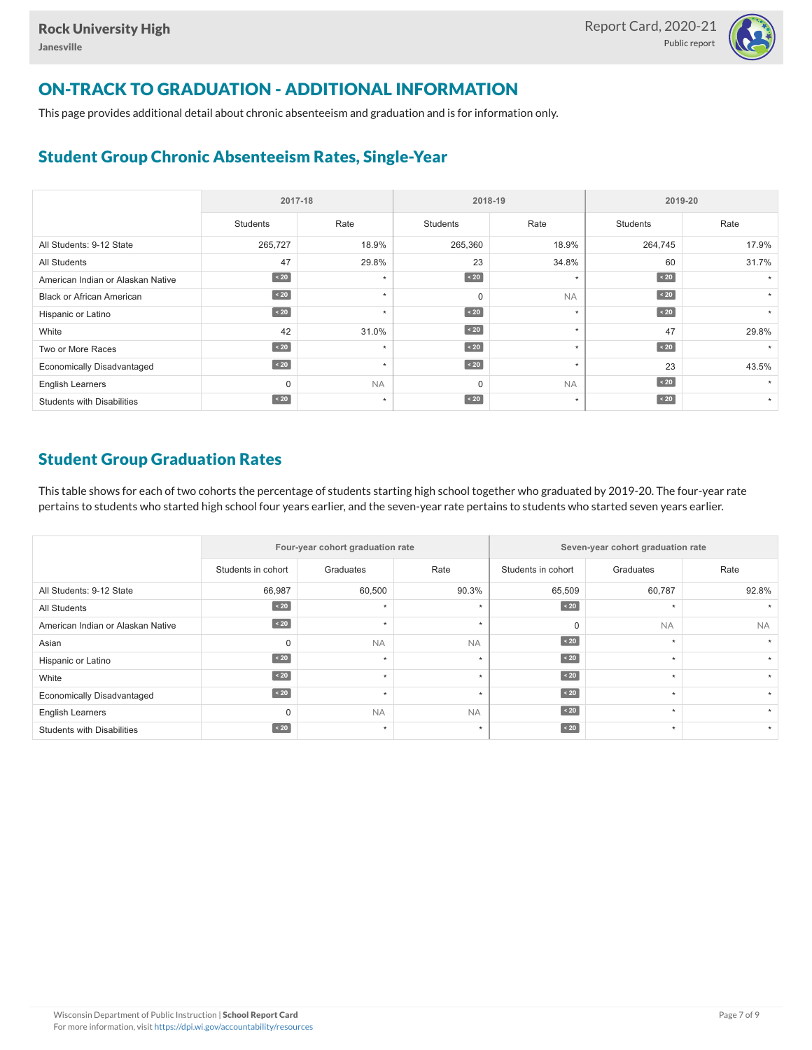

# ON-TRACK TO GRADUATION - ADDITIONAL INFORMATION

This page provides additional detail about chronic absenteeism and graduation and is for information only.

## Student Group Chronic Absenteeism Rates, Single-Year

|                                   | 2017-18     |           | 2018-19         |           | 2019-20         |       |  |
|-----------------------------------|-------------|-----------|-----------------|-----------|-----------------|-------|--|
|                                   | Students    | Rate      | <b>Students</b> | Rate      | <b>Students</b> | Rate  |  |
| All Students: 9-12 State          | 265,727     | 18.9%     | 265,360         | 18.9%     | 264,745         | 17.9% |  |
| <b>All Students</b>               | 47          | 29.8%     | 23              | 34.8%     | 60              | 31.7% |  |
| American Indian or Alaskan Native | $\sim 20$   | $\star$   | $\sim 20$       | $\star$   | $\sim 20$       |       |  |
| <b>Black or African American</b>  | $\sim 20$   | $\star$   | $\Omega$        | <b>NA</b> | $\sim 20$       |       |  |
| Hispanic or Latino                | $\leq 20$   | $\star$   | $\sim 20$       | $\star$   | $\angle 20$     |       |  |
| White                             | 42          | 31.0%     | $\angle 20$     | $\star$   | 47              | 29.8% |  |
| Two or More Races                 | $\sim 20$   | $\star$   | $\sim 20$       | $\star$   | $\sim 20$       |       |  |
| <b>Economically Disadvantaged</b> | $\angle 20$ | $\star$   | $\sim 20$       | $\star$   | 23              | 43.5% |  |
| <b>English Learners</b>           | 0           | <b>NA</b> | $\Omega$        | <b>NA</b> | $\angle 20$     |       |  |
| <b>Students with Disabilities</b> | $\sim 20$   | $\star$   | $\sim 20$       | $\star$   | $\vert$ < 20    |       |  |

## Student Group Graduation Rates

This table shows for each of two cohorts the percentage of students starting high school together who graduated by 2019-20. The four-year rate pertains to students who started high school four years earlier, and the seven-year rate pertains to students who started seven years earlier.

|                                   |                    | Four-year cohort graduation rate |           | Seven-year cohort graduation rate |           |           |  |  |  |
|-----------------------------------|--------------------|----------------------------------|-----------|-----------------------------------|-----------|-----------|--|--|--|
|                                   | Students in cohort | Graduates                        | Rate      | Students in cohort                | Graduates | Rate      |  |  |  |
| All Students: 9-12 State          | 66,987             | 60,500                           | 90.3%     | 65,509                            | 60,787    | 92.8%     |  |  |  |
| <b>All Students</b>               | $\sim 20$          | $\star$                          | $\star$   | $\angle 20$                       | $\star$   |           |  |  |  |
| American Indian or Alaskan Native | $\sim 20$          |                                  |           | $\Omega$                          | <b>NA</b> | <b>NA</b> |  |  |  |
| Asian                             | $\Omega$           | <b>NA</b>                        | <b>NA</b> | $\angle 20$                       | $\ddot{}$ |           |  |  |  |
| Hispanic or Latino                | $\sim 20$          | $\ddot{}$                        | $\star$   | $\angle 20$                       | $\star$   |           |  |  |  |
| White                             | $\sim 20$          | ٠                                | ٠         | $\sim 20$                         | $\ddot{}$ |           |  |  |  |
| <b>Economically Disadvantaged</b> | $\sim 20$          | $\star$                          | $\star$   | $\angle 20$                       | $\star$   |           |  |  |  |
| <b>English Learners</b>           | $\Omega$           | <b>NA</b>                        | <b>NA</b> | 20                                | $\ddot{}$ |           |  |  |  |
| <b>Students with Disabilities</b> | $\sim 20$          | $\star$                          | $\star$   | $\angle 20$                       | $\star$   |           |  |  |  |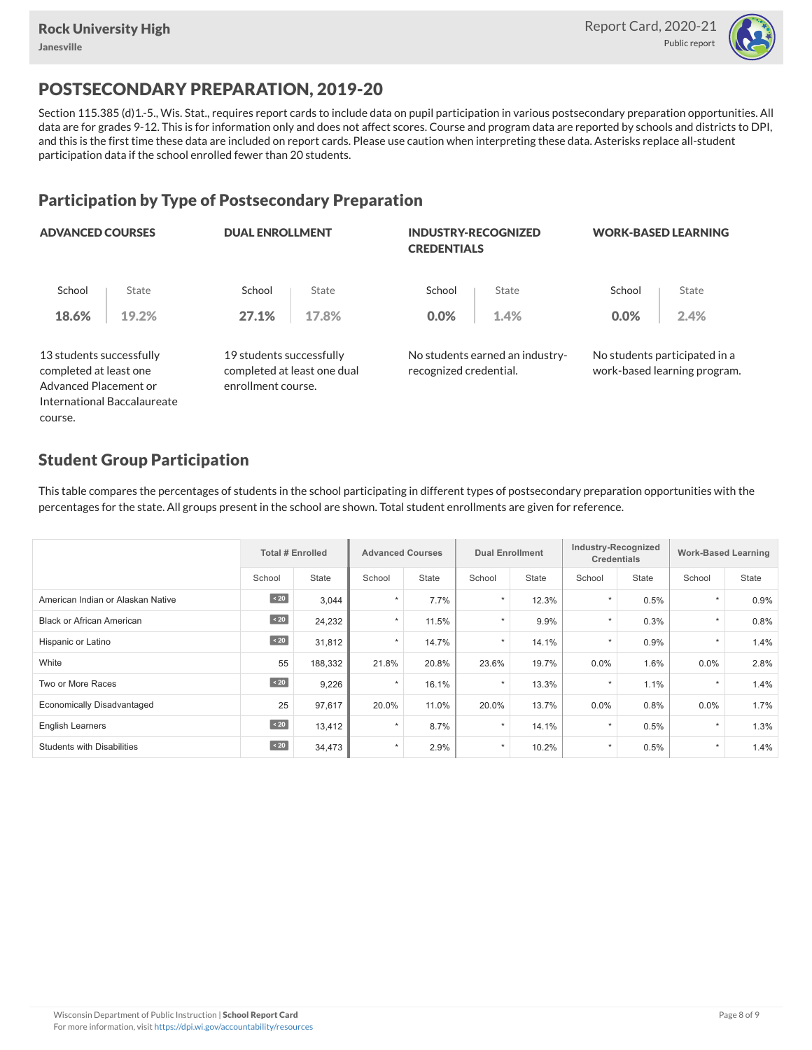

## POSTSECONDARY PREPARATION, 2019-20

Section 115.385 (d)1.-5., Wis. Stat., requires report cards to include data on pupil participation in various postsecondary preparation opportunities. All data are for grades 9-12. This is for information only and does not affect scores. Course and program data are reported by schools and districts to DPI, and this is the first time these data are included on report cards. Please use caution when interpreting these data. Asterisks replace all-student participation data if the school enrolled fewer than 20 students.

### Participation by Type of Postsecondary Preparation

| <b>ADVANCED COURSES</b>                                                     |                             | <b>DUAL ENROLLMENT</b>                         |                             | <b>INDUSTRY-RECOGNIZED</b><br><b>CREDENTIALS</b> |                                 | <b>WORK-BASED LEARNING</b> |                                                               |  |
|-----------------------------------------------------------------------------|-----------------------------|------------------------------------------------|-----------------------------|--------------------------------------------------|---------------------------------|----------------------------|---------------------------------------------------------------|--|
| School                                                                      | State                       | School                                         | State                       | School                                           | State                           | School                     | State                                                         |  |
| 18.6%                                                                       | 19.2%                       | 27.1%                                          | 17.8%                       | 0.0%                                             | 1.4%                            | 0.0%                       | 2.4%                                                          |  |
| 13 students successfully<br>completed at least one<br>Advanced Placement or |                             | 19 students successfully<br>enrollment course. | completed at least one dual | recognized credential.                           | No students earned an industry- |                            | No students participated in a<br>work-based learning program. |  |
|                                                                             | International Baccalaureate |                                                |                             |                                                  |                                 |                            |                                                               |  |

#### Student Group Participation

course.

This table compares the percentages of students in the school participating in different types of postsecondary preparation opportunities with the percentages for the state. All groups present in the school are shown. Total student enrollments are given for reference.

|                                   | <b>Total # Enrolled</b> |              | <b>Advanced Courses</b> |              | <b>Dual Enrollment</b> |              | Industry-Recognized<br><b>Credentials</b> |       | <b>Work-Based Learning</b> |              |
|-----------------------------------|-------------------------|--------------|-------------------------|--------------|------------------------|--------------|-------------------------------------------|-------|----------------------------|--------------|
|                                   | School                  | <b>State</b> | School                  | <b>State</b> | School                 | <b>State</b> | School                                    | State | School                     | <b>State</b> |
| American Indian or Alaskan Native | $\angle 20$             | 3,044        | $\star$                 | 7.7%         | $\star$                | 12.3%        | $\star$                                   | 0.5%  | $\star$                    | 0.9%         |
| <b>Black or African American</b>  | $\sim 20$               | 24,232       | $\star$                 | 11.5%        | $\star$                | 9.9%         | $\star$                                   | 0.3%  | $\star$                    | 0.8%         |
| Hispanic or Latino                | $\sim 20$               | 31,812       | $\star$                 | 14.7%        | $\star$                | 14.1%        | $\star$                                   | 0.9%  | $\star$                    | 1.4%         |
| White                             | 55                      | 188,332      | 21.8%                   | 20.8%        | 23.6%                  | 19.7%        | 0.0%                                      | 1.6%  | 0.0%                       | 2.8%         |
| Two or More Races                 | $\leq 20$               | 9,226        | $\star$                 | 16.1%        | $\star$                | 13.3%        | $\overline{ }$                            | 1.1%  | $\star$                    | 1.4%         |
| <b>Economically Disadvantaged</b> | 25                      | 97,617       | 20.0%                   | 11.0%        | 20.0%                  | 13.7%        | 0.0%                                      | 0.8%  | $0.0\%$                    | 1.7%         |
| <b>English Learners</b>           | $\sim 20$               | 13,412       | $\star$                 | 8.7%         | $\star$                | 14.1%        |                                           | 0.5%  | $\star$                    | 1.3%         |
| <b>Students with Disabilities</b> | $\sim 20$               | 34,473       | $\star$                 | 2.9%         | $\star$                | 10.2%        | $\star$                                   | 0.5%  | $\star$                    | 1.4%         |